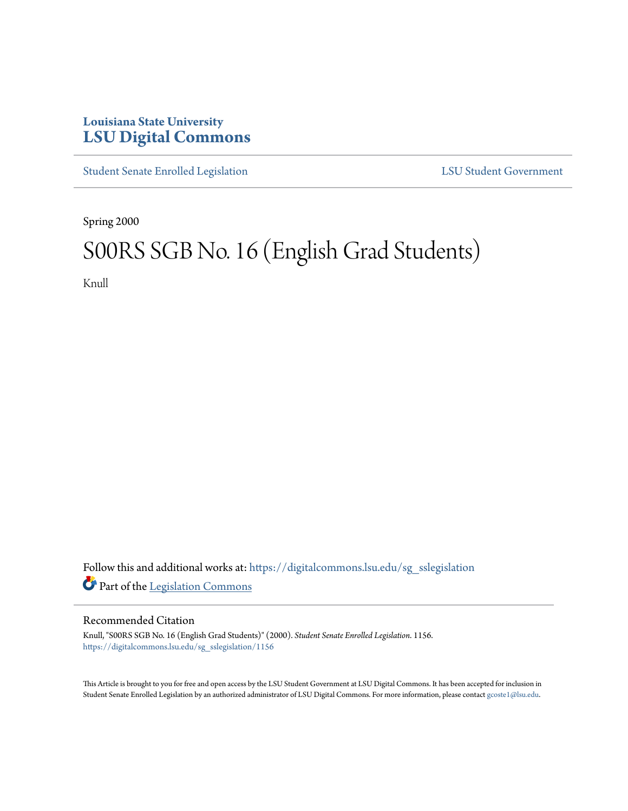## **Louisiana State University [LSU Digital Commons](https://digitalcommons.lsu.edu?utm_source=digitalcommons.lsu.edu%2Fsg_sslegislation%2F1156&utm_medium=PDF&utm_campaign=PDFCoverPages)**

[Student Senate Enrolled Legislation](https://digitalcommons.lsu.edu/sg_sslegislation?utm_source=digitalcommons.lsu.edu%2Fsg_sslegislation%2F1156&utm_medium=PDF&utm_campaign=PDFCoverPages) [LSU Student Government](https://digitalcommons.lsu.edu/sg?utm_source=digitalcommons.lsu.edu%2Fsg_sslegislation%2F1156&utm_medium=PDF&utm_campaign=PDFCoverPages)

Spring 2000

# S00RS SGB No. 16 (English Grad Students)

Knull

Follow this and additional works at: [https://digitalcommons.lsu.edu/sg\\_sslegislation](https://digitalcommons.lsu.edu/sg_sslegislation?utm_source=digitalcommons.lsu.edu%2Fsg_sslegislation%2F1156&utm_medium=PDF&utm_campaign=PDFCoverPages) Part of the [Legislation Commons](http://network.bepress.com/hgg/discipline/859?utm_source=digitalcommons.lsu.edu%2Fsg_sslegislation%2F1156&utm_medium=PDF&utm_campaign=PDFCoverPages)

#### Recommended Citation

Knull, "S00RS SGB No. 16 (English Grad Students)" (2000). *Student Senate Enrolled Legislation*. 1156. [https://digitalcommons.lsu.edu/sg\\_sslegislation/1156](https://digitalcommons.lsu.edu/sg_sslegislation/1156?utm_source=digitalcommons.lsu.edu%2Fsg_sslegislation%2F1156&utm_medium=PDF&utm_campaign=PDFCoverPages)

This Article is brought to you for free and open access by the LSU Student Government at LSU Digital Commons. It has been accepted for inclusion in Student Senate Enrolled Legislation by an authorized administrator of LSU Digital Commons. For more information, please contact [gcoste1@lsu.edu.](mailto:gcoste1@lsu.edu)